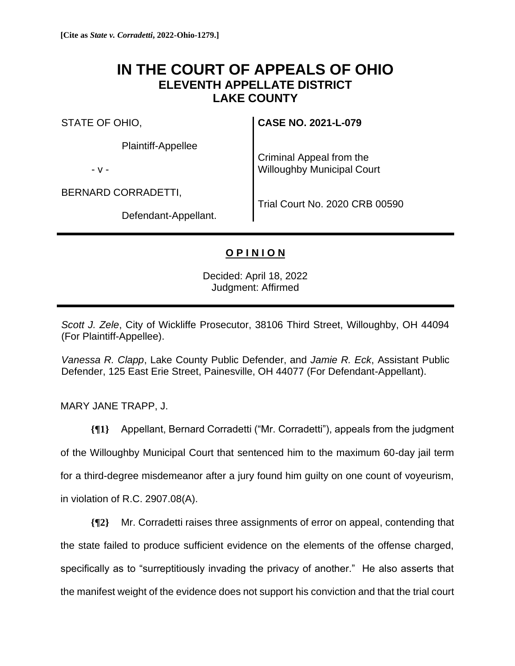# **IN THE COURT OF APPEALS OF OHIO ELEVENTH APPELLATE DISTRICT LAKE COUNTY**

STATE OF OHIO,

Plaintiff-Appellee

- v -

BERNARD CORRADETTI,

Criminal Appeal from the Willoughby Municipal Court

**CASE NO. 2021-L-079**

Defendant-Appellant.

Trial Court No. 2020 CRB 00590

## **O P I N I O N**

Decided: April 18, 2022 Judgment: Affirmed

*Scott J. Zele*, City of Wickliffe Prosecutor, 38106 Third Street, Willoughby, OH 44094 (For Plaintiff-Appellee).

*Vanessa R. Clapp*, Lake County Public Defender, and *Jamie R. Eck*, Assistant Public Defender, 125 East Erie Street, Painesville, OH 44077 (For Defendant-Appellant).

MARY JANE TRAPP, J.

**{¶1}** Appellant, Bernard Corradetti ("Mr. Corradetti"), appeals from the judgment of the Willoughby Municipal Court that sentenced him to the maximum 60-day jail term for a third-degree misdemeanor after a jury found him guilty on one count of voyeurism,

in violation of R.C. 2907.08(A).

**{¶2}** Mr. Corradetti raises three assignments of error on appeal, contending that the state failed to produce sufficient evidence on the elements of the offense charged, specifically as to "surreptitiously invading the privacy of another." He also asserts that the manifest weight of the evidence does not support his conviction and that the trial court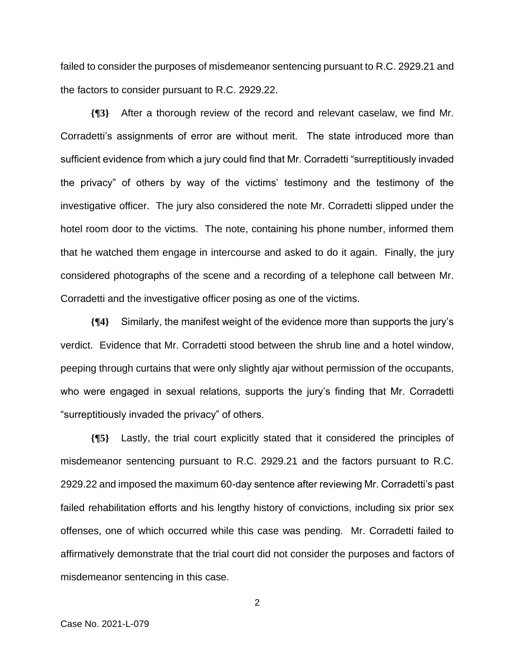failed to consider the purposes of misdemeanor sentencing pursuant to R.C. 2929.21 and the factors to consider pursuant to R.C. 2929.22.

**{¶3}** After a thorough review of the record and relevant caselaw, we find Mr. Corradetti's assignments of error are without merit. The state introduced more than sufficient evidence from which a jury could find that Mr. Corradetti "surreptitiously invaded the privacy" of others by way of the victims' testimony and the testimony of the investigative officer. The jury also considered the note Mr. Corradetti slipped under the hotel room door to the victims. The note, containing his phone number, informed them that he watched them engage in intercourse and asked to do it again. Finally, the jury considered photographs of the scene and a recording of a telephone call between Mr. Corradetti and the investigative officer posing as one of the victims.

**{¶4}** Similarly, the manifest weight of the evidence more than supports the jury's verdict. Evidence that Mr. Corradetti stood between the shrub line and a hotel window, peeping through curtains that were only slightly ajar without permission of the occupants, who were engaged in sexual relations, supports the jury's finding that Mr. Corradetti "surreptitiously invaded the privacy" of others.

**{¶5}** Lastly, the trial court explicitly stated that it considered the principles of misdemeanor sentencing pursuant to R.C. 2929.21 and the factors pursuant to R.C. 2929.22 and imposed the maximum 60-day sentence after reviewing Mr. Corradetti's past failed rehabilitation efforts and his lengthy history of convictions, including six prior sex offenses, one of which occurred while this case was pending. Mr. Corradetti failed to affirmatively demonstrate that the trial court did not consider the purposes and factors of misdemeanor sentencing in this case.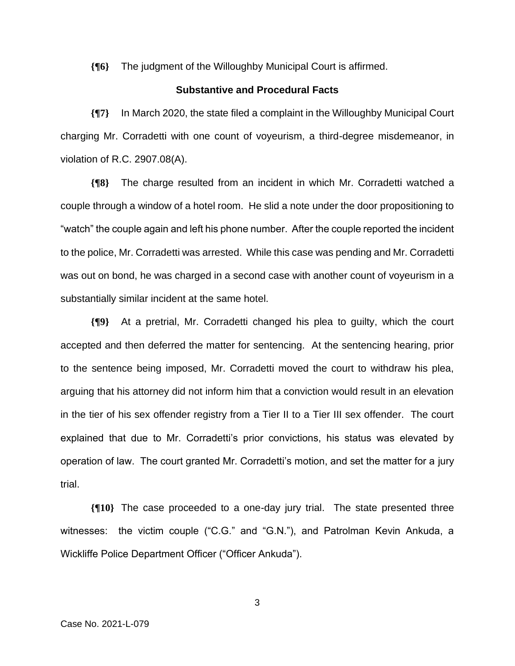**{¶6}** The judgment of the Willoughby Municipal Court is affirmed.

### **Substantive and Procedural Facts**

**{¶7}** In March 2020, the state filed a complaint in the Willoughby Municipal Court charging Mr. Corradetti with one count of voyeurism, a third-degree misdemeanor, in violation of R.C. 2907.08(A).

**{¶8}** The charge resulted from an incident in which Mr. Corradetti watched a couple through a window of a hotel room. He slid a note under the door propositioning to "watch" the couple again and left his phone number. After the couple reported the incident to the police, Mr. Corradetti was arrested. While this case was pending and Mr. Corradetti was out on bond, he was charged in a second case with another count of voyeurism in a substantially similar incident at the same hotel.

**{¶9}** At a pretrial, Mr. Corradetti changed his plea to guilty, which the court accepted and then deferred the matter for sentencing. At the sentencing hearing, prior to the sentence being imposed, Mr. Corradetti moved the court to withdraw his plea, arguing that his attorney did not inform him that a conviction would result in an elevation in the tier of his sex offender registry from a Tier II to a Tier III sex offender. The court explained that due to Mr. Corradetti's prior convictions, his status was elevated by operation of law. The court granted Mr. Corradetti's motion, and set the matter for a jury trial.

**{¶10}** The case proceeded to a one-day jury trial. The state presented three witnesses: the victim couple ("C.G." and "G.N."), and Patrolman Kevin Ankuda, a Wickliffe Police Department Officer ("Officer Ankuda").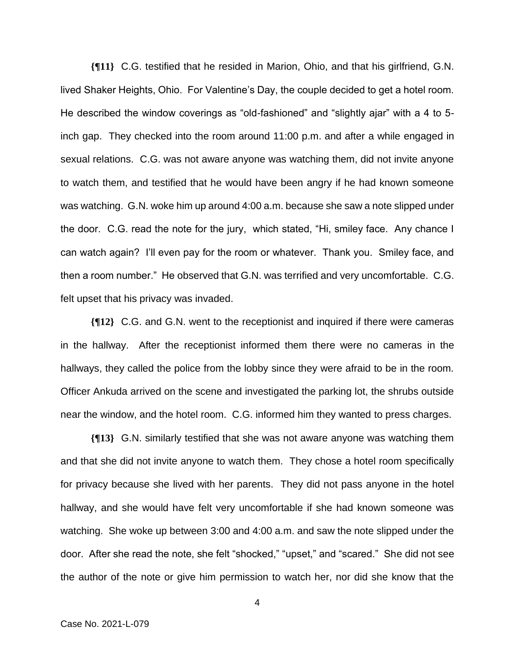**{¶11}** C.G. testified that he resided in Marion, Ohio, and that his girlfriend, G.N. lived Shaker Heights, Ohio. For Valentine's Day, the couple decided to get a hotel room. He described the window coverings as "old-fashioned" and "slightly ajar" with a 4 to 5 inch gap. They checked into the room around 11:00 p.m. and after a while engaged in sexual relations. C.G. was not aware anyone was watching them, did not invite anyone to watch them, and testified that he would have been angry if he had known someone was watching. G.N. woke him up around 4:00 a.m. because she saw a note slipped under the door. C.G. read the note for the jury, which stated, "Hi, smiley face. Any chance I can watch again? I'll even pay for the room or whatever. Thank you. Smiley face, and then a room number." He observed that G.N. was terrified and very uncomfortable. C.G. felt upset that his privacy was invaded.

**{¶12}** C.G. and G.N. went to the receptionist and inquired if there were cameras in the hallway. After the receptionist informed them there were no cameras in the hallways, they called the police from the lobby since they were afraid to be in the room. Officer Ankuda arrived on the scene and investigated the parking lot, the shrubs outside near the window, and the hotel room. C.G. informed him they wanted to press charges.

**{¶13}** G.N. similarly testified that she was not aware anyone was watching them and that she did not invite anyone to watch them. They chose a hotel room specifically for privacy because she lived with her parents. They did not pass anyone in the hotel hallway, and she would have felt very uncomfortable if she had known someone was watching. She woke up between 3:00 and 4:00 a.m. and saw the note slipped under the door. After she read the note, she felt "shocked," "upset," and "scared." She did not see the author of the note or give him permission to watch her, nor did she know that the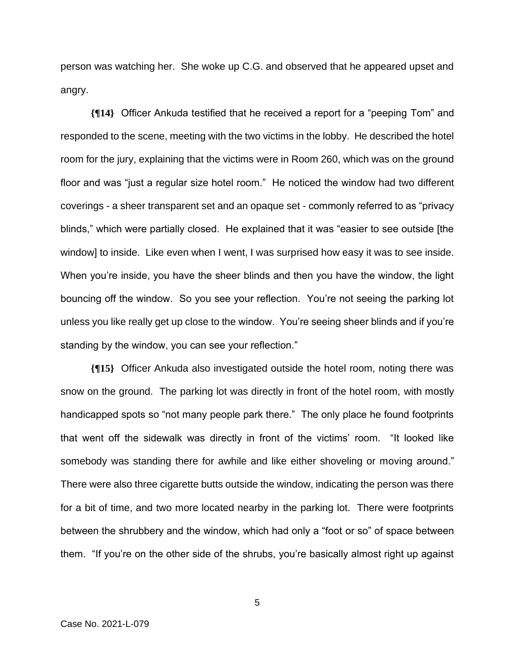person was watching her. She woke up C.G. and observed that he appeared upset and angry.

**{¶14}** Officer Ankuda testified that he received a report for a "peeping Tom" and responded to the scene, meeting with the two victims in the lobby. He described the hotel room for the jury, explaining that the victims were in Room 260, which was on the ground floor and was "just a regular size hotel room." He noticed the window had two different coverings - a sheer transparent set and an opaque set - commonly referred to as "privacy blinds," which were partially closed. He explained that it was "easier to see outside [the window] to inside. Like even when I went, I was surprised how easy it was to see inside. When you're inside, you have the sheer blinds and then you have the window, the light bouncing off the window. So you see your reflection. You're not seeing the parking lot unless you like really get up close to the window. You're seeing sheer blinds and if you're standing by the window, you can see your reflection."

**{¶15}** Officer Ankuda also investigated outside the hotel room, noting there was snow on the ground. The parking lot was directly in front of the hotel room, with mostly handicapped spots so "not many people park there." The only place he found footprints that went off the sidewalk was directly in front of the victims' room. "It looked like somebody was standing there for awhile and like either shoveling or moving around." There were also three cigarette butts outside the window, indicating the person was there for a bit of time, and two more located nearby in the parking lot. There were footprints between the shrubbery and the window, which had only a "foot or so" of space between them. "If you're on the other side of the shrubs, you're basically almost right up against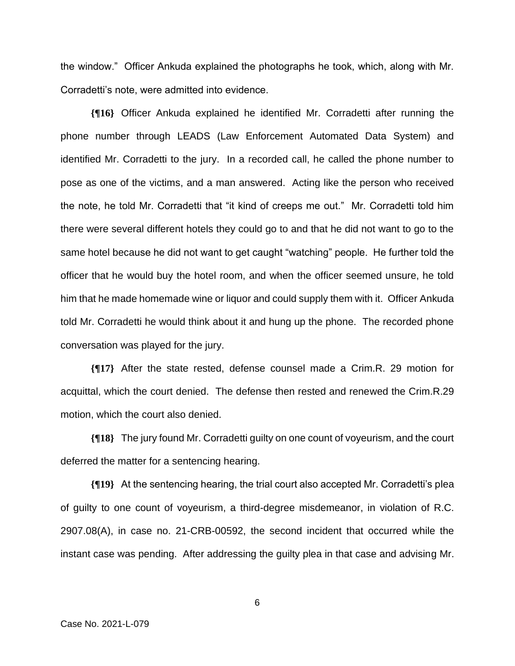the window." Officer Ankuda explained the photographs he took, which, along with Mr. Corradetti's note, were admitted into evidence.

**{¶16}** Officer Ankuda explained he identified Mr. Corradetti after running the phone number through LEADS (Law Enforcement Automated Data System) and identified Mr. Corradetti to the jury. In a recorded call, he called the phone number to pose as one of the victims, and a man answered. Acting like the person who received the note, he told Mr. Corradetti that "it kind of creeps me out." Mr. Corradetti told him there were several different hotels they could go to and that he did not want to go to the same hotel because he did not want to get caught "watching" people. He further told the officer that he would buy the hotel room, and when the officer seemed unsure, he told him that he made homemade wine or liquor and could supply them with it. Officer Ankuda told Mr. Corradetti he would think about it and hung up the phone. The recorded phone conversation was played for the jury.

**{¶17}** After the state rested, defense counsel made a Crim.R. 29 motion for acquittal, which the court denied. The defense then rested and renewed the Crim.R.29 motion, which the court also denied.

**{¶18}** The jury found Mr. Corradetti guilty on one count of voyeurism, and the court deferred the matter for a sentencing hearing.

**{¶19}** At the sentencing hearing, the trial court also accepted Mr. Corradetti's plea of guilty to one count of voyeurism, a third-degree misdemeanor, in violation of R.C. 2907.08(A), in case no. 21-CRB-00592, the second incident that occurred while the instant case was pending. After addressing the guilty plea in that case and advising Mr.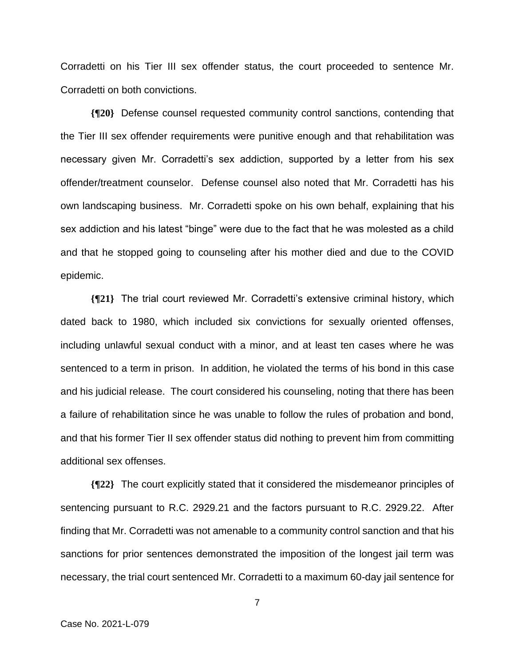Corradetti on his Tier III sex offender status, the court proceeded to sentence Mr. Corradetti on both convictions.

**{¶20}** Defense counsel requested community control sanctions, contending that the Tier III sex offender requirements were punitive enough and that rehabilitation was necessary given Mr. Corradetti's sex addiction, supported by a letter from his sex offender/treatment counselor. Defense counsel also noted that Mr. Corradetti has his own landscaping business. Mr. Corradetti spoke on his own behalf, explaining that his sex addiction and his latest "binge" were due to the fact that he was molested as a child and that he stopped going to counseling after his mother died and due to the COVID epidemic.

**{¶21}** The trial court reviewed Mr. Corradetti's extensive criminal history, which dated back to 1980, which included six convictions for sexually oriented offenses, including unlawful sexual conduct with a minor, and at least ten cases where he was sentenced to a term in prison. In addition, he violated the terms of his bond in this case and his judicial release. The court considered his counseling, noting that there has been a failure of rehabilitation since he was unable to follow the rules of probation and bond, and that his former Tier II sex offender status did nothing to prevent him from committing additional sex offenses.

**{¶22}** The court explicitly stated that it considered the misdemeanor principles of sentencing pursuant to R.C. 2929.21 and the factors pursuant to R.C. 2929.22. After finding that Mr. Corradetti was not amenable to a community control sanction and that his sanctions for prior sentences demonstrated the imposition of the longest jail term was necessary, the trial court sentenced Mr. Corradetti to a maximum 60-day jail sentence for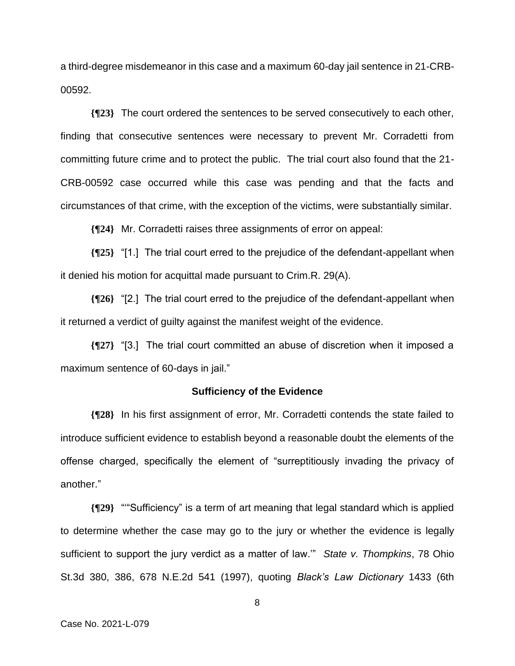a third-degree misdemeanor in this case and a maximum 60-day jail sentence in 21-CRB-00592.

**{¶23}** The court ordered the sentences to be served consecutively to each other, finding that consecutive sentences were necessary to prevent Mr. Corradetti from committing future crime and to protect the public. The trial court also found that the 21- CRB-00592 case occurred while this case was pending and that the facts and circumstances of that crime, with the exception of the victims, were substantially similar.

**{¶24}** Mr. Corradetti raises three assignments of error on appeal:

**{¶25}** "[1.] The trial court erred to the prejudice of the defendant-appellant when it denied his motion for acquittal made pursuant to Crim.R. 29(A).

**{¶26}** "[2.] The trial court erred to the prejudice of the defendant-appellant when it returned a verdict of guilty against the manifest weight of the evidence.

**{¶27}** "[3.] The trial court committed an abuse of discretion when it imposed a maximum sentence of 60-days in jail."

#### **Sufficiency of the Evidence**

**{¶28}** In his first assignment of error, Mr. Corradetti contends the state failed to introduce sufficient evidence to establish beyond a reasonable doubt the elements of the offense charged, specifically the element of "surreptitiously invading the privacy of another."

**{¶29}** "'"Sufficiency" is a term of art meaning that legal standard which is applied to determine whether the case may go to the jury or whether the evidence is legally sufficient to support the jury verdict as a matter of law.'" *State v. Thompkins*, 78 Ohio St.3d 380, 386, 678 N.E.2d 541 (1997), quoting *Black's Law Dictionary* 1433 (6th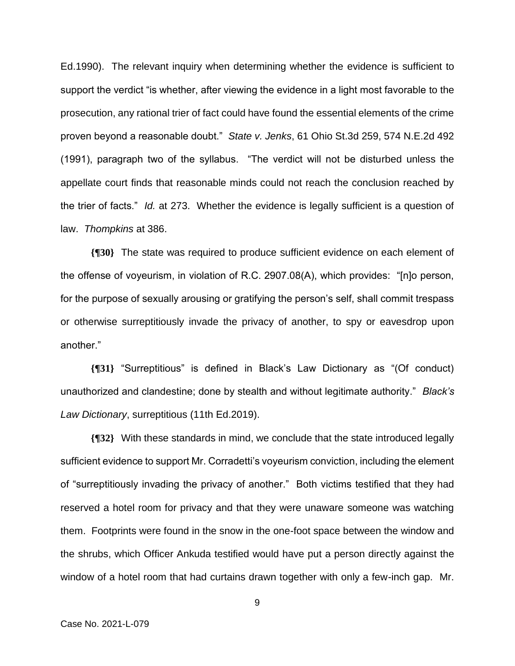Ed.1990). The relevant inquiry when determining whether the evidence is sufficient to support the verdict "is whether, after viewing the evidence in a light most favorable to the prosecution, any rational trier of fact could have found the essential elements of the crime proven beyond a reasonable doubt." *State v. Jenks*, 61 Ohio St.3d 259, 574 N.E.2d 492 (1991), paragraph two of the syllabus. "The verdict will not be disturbed unless the appellate court finds that reasonable minds could not reach the conclusion reached by the trier of facts." *Id.* at 273. Whether the evidence is legally sufficient is a question of law. *Thompkins* at 386.

**{¶30}** The state was required to produce sufficient evidence on each element of the offense of voyeurism, in violation of R.C. 2907.08(A), which provides: "[n]o person, for the purpose of sexually arousing or gratifying the person's self, shall commit trespass or otherwise surreptitiously invade the privacy of another, to spy or eavesdrop upon another."

**{¶31}** "Surreptitious" is defined in Black's Law Dictionary as "(Of conduct) unauthorized and clandestine; done by stealth and without legitimate authority." *Black's Law Dictionary*, surreptitious (11th Ed.2019).

**{¶32}** With these standards in mind, we conclude that the state introduced legally sufficient evidence to support Mr. Corradetti's voyeurism conviction, including the element of "surreptitiously invading the privacy of another." Both victims testified that they had reserved a hotel room for privacy and that they were unaware someone was watching them. Footprints were found in the snow in the one-foot space between the window and the shrubs, which Officer Ankuda testified would have put a person directly against the window of a hotel room that had curtains drawn together with only a few-inch gap. Mr.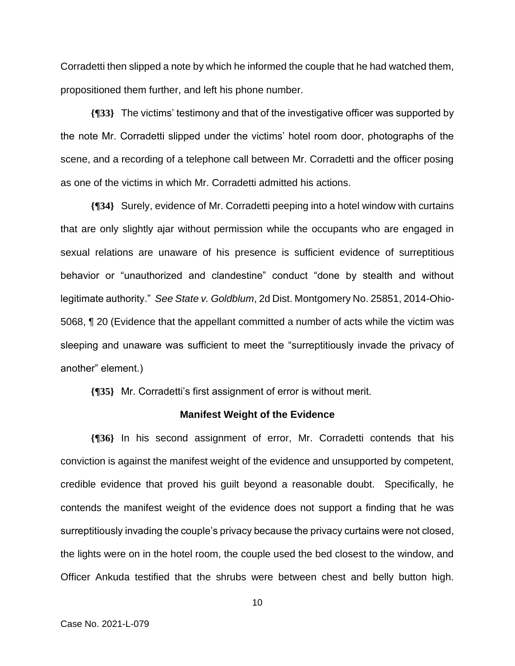Corradetti then slipped a note by which he informed the couple that he had watched them, propositioned them further, and left his phone number.

**{¶33}** The victims' testimony and that of the investigative officer was supported by the note Mr. Corradetti slipped under the victims' hotel room door, photographs of the scene, and a recording of a telephone call between Mr. Corradetti and the officer posing as one of the victims in which Mr. Corradetti admitted his actions.

**{¶34}** Surely, evidence of Mr. Corradetti peeping into a hotel window with curtains that are only slightly ajar without permission while the occupants who are engaged in sexual relations are unaware of his presence is sufficient evidence of surreptitious behavior or "unauthorized and clandestine" conduct "done by stealth and without legitimate authority." *See State v. Goldblum*, 2d Dist. Montgomery No. 25851, 2014-Ohio-5068, ¶ 20 (Evidence that the appellant committed a number of acts while the victim was sleeping and unaware was sufficient to meet the "surreptitiously invade the privacy of another" element.)

**{¶35}** Mr. Corradetti's first assignment of error is without merit.

#### **Manifest Weight of the Evidence**

**{¶36}** In his second assignment of error, Mr. Corradetti contends that his conviction is against the manifest weight of the evidence and unsupported by competent, credible evidence that proved his guilt beyond a reasonable doubt. Specifically, he contends the manifest weight of the evidence does not support a finding that he was surreptitiously invading the couple's privacy because the privacy curtains were not closed, the lights were on in the hotel room, the couple used the bed closest to the window, and Officer Ankuda testified that the shrubs were between chest and belly button high.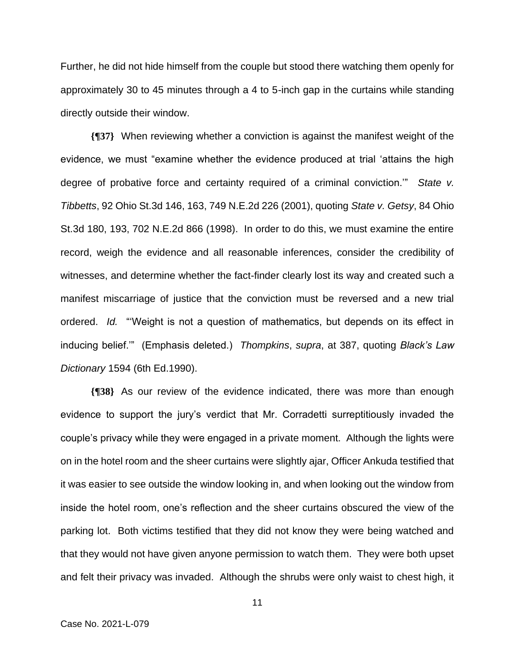Further, he did not hide himself from the couple but stood there watching them openly for approximately 30 to 45 minutes through a 4 to 5-inch gap in the curtains while standing directly outside their window.

**{¶37}** When reviewing whether a conviction is against the manifest weight of the evidence, we must "examine whether the evidence produced at trial 'attains the high degree of probative force and certainty required of a criminal conviction.'" *State v. Tibbetts*, 92 Ohio St.3d 146, 163, 749 N.E.2d 226 (2001), quoting *State v. Getsy*, 84 Ohio St.3d 180, 193, 702 N.E.2d 866 (1998). In order to do this, we must examine the entire record, weigh the evidence and all reasonable inferences, consider the credibility of witnesses, and determine whether the fact-finder clearly lost its way and created such a manifest miscarriage of justice that the conviction must be reversed and a new trial ordered. *Id.* "'Weight is not a question of mathematics, but depends on its effect in inducing belief.'" (Emphasis deleted.) *Thompkins*, *supra*, at 387, quoting *Black's Law Dictionary* 1594 (6th Ed.1990).

**{¶38}** As our review of the evidence indicated, there was more than enough evidence to support the jury's verdict that Mr. Corradetti surreptitiously invaded the couple's privacy while they were engaged in a private moment. Although the lights were on in the hotel room and the sheer curtains were slightly ajar, Officer Ankuda testified that it was easier to see outside the window looking in, and when looking out the window from inside the hotel room, one's reflection and the sheer curtains obscured the view of the parking lot. Both victims testified that they did not know they were being watched and that they would not have given anyone permission to watch them. They were both upset and felt their privacy was invaded. Although the shrubs were only waist to chest high, it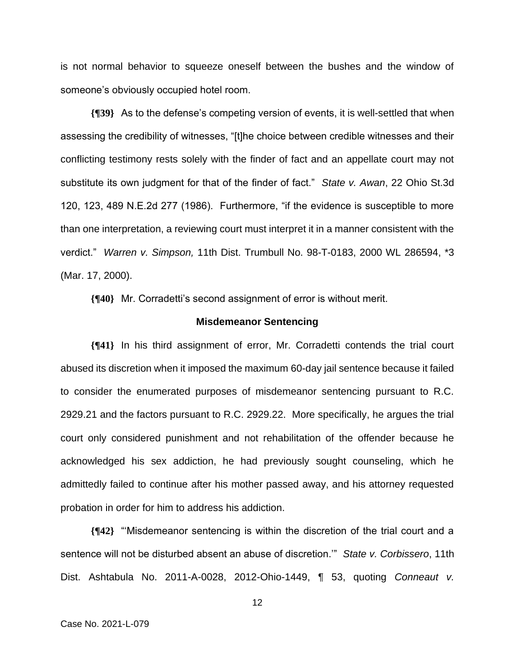is not normal behavior to squeeze oneself between the bushes and the window of someone's obviously occupied hotel room.

**{¶39}** As to the defense's competing version of events, it is well-settled that when assessing the credibility of witnesses, "[t]he choice between credible witnesses and their conflicting testimony rests solely with the finder of fact and an appellate court may not substitute its own judgment for that of the finder of fact." *State v. Awan*, 22 Ohio St.3d 120, 123, 489 N.E.2d 277 (1986). Furthermore, "if the evidence is susceptible to more than one interpretation, a reviewing court must interpret it in a manner consistent with the verdict." *Warren v. Simpson,* 11th Dist. Trumbull No. 98-T-0183, 2000 WL 286594, \*3 (Mar. 17, 2000).

**{¶40}** Mr. Corradetti's second assignment of error is without merit.

#### **Misdemeanor Sentencing**

**{¶41}** In his third assignment of error, Mr. Corradetti contends the trial court abused its discretion when it imposed the maximum 60-day jail sentence because it failed to consider the enumerated purposes of misdemeanor sentencing pursuant to R.C. 2929.21 and the factors pursuant to R.C. 2929.22. More specifically, he argues the trial court only considered punishment and not rehabilitation of the offender because he acknowledged his sex addiction, he had previously sought counseling, which he admittedly failed to continue after his mother passed away, and his attorney requested probation in order for him to address his addiction.

**{¶42}** "'Misdemeanor sentencing is within the discretion of the trial court and a sentence will not be disturbed absent an abuse of discretion.'" *State v. Corbissero*, 11th Dist. Ashtabula No. 2011-A-0028, 2012-Ohio-1449, ¶ 53, quoting *Conneaut v.*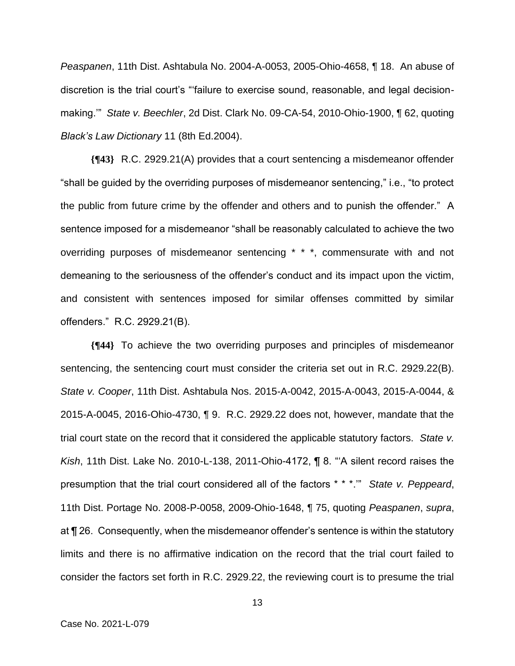*Peaspanen*, 11th Dist. Ashtabula No. 2004-A-0053, 2005-Ohio-4658, ¶ 18. An abuse of discretion is the trial court's "'failure to exercise sound, reasonable, and legal decisionmaking.'" *State v. Beechler*, 2d Dist. Clark No. 09-CA-54, 2010-Ohio-1900, ¶ 62, quoting *Black's Law Dictionary* 11 (8th Ed.2004).

**{¶43}** R.C. 2929.21(A) provides that a court sentencing a misdemeanor offender "shall be guided by the overriding purposes of misdemeanor sentencing," i.e., "to protect the public from future crime by the offender and others and to punish the offender." A sentence imposed for a misdemeanor "shall be reasonably calculated to achieve the two overriding purposes of misdemeanor sentencing \* \* \*, commensurate with and not demeaning to the seriousness of the offender's conduct and its impact upon the victim, and consistent with sentences imposed for similar offenses committed by similar offenders." R.C. 2929.21(B).

**{¶44}** To achieve the two overriding purposes and principles of misdemeanor sentencing, the sentencing court must consider the criteria set out in R.C. 2929.22(B). *State v. Cooper*, 11th Dist. Ashtabula Nos. 2015-A-0042, 2015-A-0043, 2015-A-0044, & 2015-A-0045, 2016-Ohio-4730, ¶ 9. R.C. 2929.22 does not, however, mandate that the trial court state on the record that it considered the applicable statutory factors. *State v. Kish*, 11th Dist. Lake No. 2010-L-138, 2011-Ohio-4172, ¶ 8. "'A silent record raises the presumption that the trial court considered all of the factors \* \* \*.'" *State v. Peppeard*, 11th Dist. Portage No. 2008-P-0058, 2009-Ohio-1648, ¶ 75, quoting *Peaspanen*, *supra*, at ¶ 26. Consequently, when the misdemeanor offender's sentence is within the statutory limits and there is no affirmative indication on the record that the trial court failed to consider the factors set forth in R.C. 2929.22, the reviewing court is to presume the trial